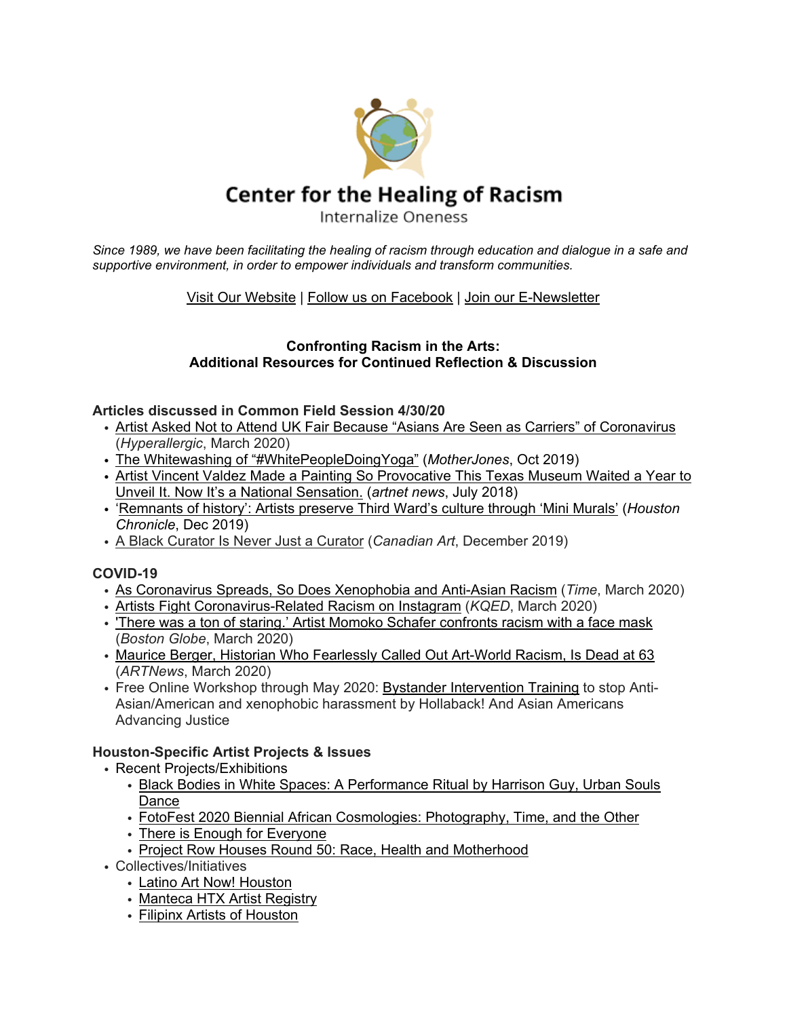

Since 1989, we have been facilitating the healing of racism through education and dialogue in a safe and *supportive environment, in order to empower individuals and transform communities.*

## Visit Our [Website](https://www.centerhealingracism.org/) | Follow us on [Facebook](https://www.facebook.com/Center-for-the-Healing-of-Racism-108622749170903/) | Join our [E-Newsletter](https://www.centerhealingracism.org/subscribe/)

#### **Confronting Racism in the Arts: Additional Resources for Continued Reflection & Discussion**

#### **Articles discussed in Common Field Session 4/30/20**

- Artist Asked Not to Attend UK Fair Because "Asians Are Seen as Carriers" of [Coronavirus](https://hyperallergic.com/546544/affordable-art-fair/) (*Hyperallergic*, March 2020)
- The Whitewashing of ["#WhitePeopleDoingYoga"](https://www.motherjones.com/media/2019/10/white-people-yoga-sf-asian-art-museum/) (*MotherJones*, Oct 2019)
- Artist Vincent Valdez Made a Painting So [Provocative](https://news.artnet.com/exhibitions/vincent-valdez-kkk-panorama-blanton-1320290) This Texas Museum Waited a Year to Unveil It. Now It's a National [Sensation.](https://news.artnet.com/exhibitions/vincent-valdez-kkk-panorama-blanton-1320290) (*artnet news*, July 2018)
- ['Remnants](https://www.houstonchronicle.com/news/houston-texas/houston/article/Remnants-of-history-Artists-preserve-Third-14875573.php#photo-18667929) of history': Artists preserve Third Ward's culture through 'Mini Murals' (*Houston Chronicle*, Dec 2019)
- A Black [Curator](https://canadianart.ca/features/kelsey-adams-black-curators-forum/) Is Never Just a Curator (*Canadian Art*, December 2019)

## **COVID-19**

- As [Coronavirus](https://time.com/5797836/coronavirus-racism-stereotypes-attacks/) Spreads, So Does Xenophobia and Anti-Asian Racism (*Time*, March 2020)
- Artists Fight [Coronavirus-Related](https://www.kqed.org/arts/13877013/artists-fight-coronavirus-related-racism-on-instagram) Racism on Instagram (*KQED*, March 2020)
- 'There was a ton of staring.' Artist Momoko Schafer [confronts](https://www.bostonglobe.com/2020/03/26/arts/there-was-ton-staring-artist-momoko-schafer-confronts-racism-with-face-mask/) racism with a face mask (*Boston Globe*, March 2020)
- Maurice Berger, Historian Who [Fearlessly](https://www.artnews.com/art-news/news/maurice-berger-dead-1202682023/) Called Out Art-World Racism, Is Dead at 63 (*ARTNews*, March 2020)
- Free Online Workshop through May 2020: Bystander [Intervention](https://www.ihollaback.org/bystanderintervention/) Training to stop Anti-Asian/American and xenophobic harassment by Hollaback! And Asian Americans Advancing Justice

## **Houston-Specific Artist Projects & Issues**

- Recent Projects/Exhibitions
	- Black Bodies in White Spaces: A [Performance](https://www.facebook.com/events/s/black-bodies-in-white-spaces-a/216116799415529/) Ritual by Harrison Guy, Urban Souls [Dance](https://www.facebook.com/events/s/black-bodies-in-white-spaces-a/216116799415529/)
	- FotoFest 2020 Biennial African [Cosmologies:](http://fotofest.org/biennial2020) Photography, Time, and the Other
	- There is Enough for [Everyone](https://www.bylinehouston.com/there-is-enough-for-everyone-second-ward-art-show-opens-tonight/)
	- Project Row Houses Round 50: Race, Health and [Motherhood](https://projectrowhouses.org/past-artist-rounds)
- Collectives/Initiatives
	- Latino Art Now! [Houston](https://www.facebook.com/latinoartnow/)
	- [Manteca](https://www.mantecahtx.com/) HTX Artist Registry
	- Filipinx Artists of [Houston](https://www.facebook.com/filipinxartistsofhouston/)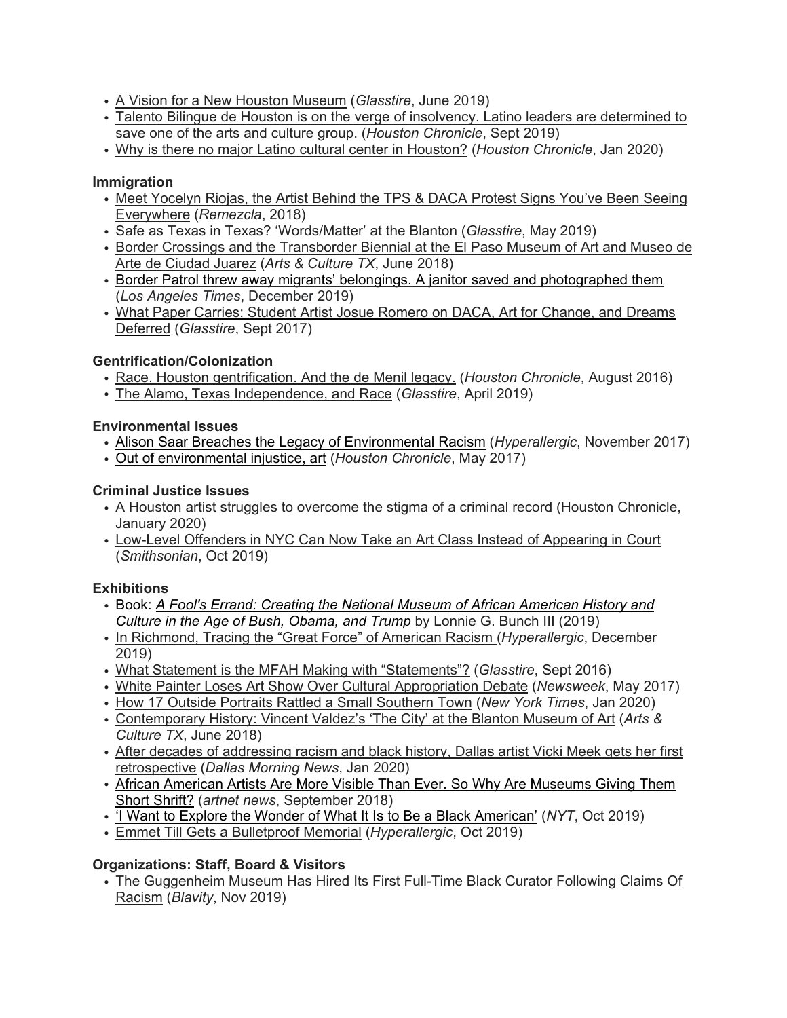- A Vision for a New Houston [Museum](https://glasstire.com/2019/06/03/a-vision-for-a-new-houston-museum/) (*Glasstire*, June 2019)
- Talento Bilingue de Houston is on the verge of insolvency. Latino leaders are [determined](https://www.houstonchronicle.com/news/houston-texas/houston/article/Latinos-demand-government-support-to-save-14405775.php) to save one of the arts and [culture](https://www.houstonchronicle.com/news/houston-texas/houston/article/Latinos-demand-government-support-to-save-14405775.php) group. (*Houston Chronicle*, Sept 2019)
- Why is there no major Latino cultural center in [Houston?](https://www.houstonchronicle.com/entertainment/article/Why-is-there-no-major-Latino-cultural-center-in-14966634.php) (*Houston Chronicle*, Jan 2020)

#### **Immigration**

- Meet [Yocelyn](https://remezcla.com/features/culture/meet-yocelyn-riojas-the-artist-behind-the-tps-daca-protest-signs-youve-been-seeing-everywhere/) Riojas, the Artist Behind the TPS & DACA Protest Signs You've Been Seeing [Everywhere](https://remezcla.com/features/culture/meet-yocelyn-riojas-the-artist-behind-the-tps-daca-protest-signs-youve-been-seeing-everywhere/) (*Remezcla*, 2018)
- Safe as Texas in Texas? ['Words/Matter'](https://glasstire.com/2019/05/20/safe-as-texas-in-texas-words-matter-at-the-blanton/) at the Blanton (*Glasstire*, May 2019)
- Border Crossings and the [Transborder](http://artsandculturetx.com/border-crossings-and-the-transborder-biennial-at-the-el-paso-museum-of-art-and-museo-de-arte-de-ciudad-juarez/) Biennial at the El Paso Museum of Art and Museo de Arte de [Ciudad](http://artsandculturetx.com/border-crossings-and-the-transborder-biennial-at-the-el-paso-museum-of-art-and-museo-de-arte-de-ciudad-juarez/) Juarez (*Arts & Culture TX*, June 2018)
- [Border Patrol threw away migrants' belongings. A janitor saved and photographed them](https://www.latimes.com/entertainment-arts/story/2019-12-02/tom-kiefer-exhibition-el-sueno-americano) (*Los Angeles Times*, December 2019)
- What Paper Carries: Student Artist Josue Romero on DACA, Art for Change, and Dreams [Deferred](https://glasstire.com/2017/09/12/what-paper-carries-student-artist-josue-romero-on-daca-art-for-change-and-dreams-deferred/) (*Glasstire*, Sept 2017)

#### **Gentrification/Colonization**

- Race. Houston [gentrification.](https://www.houstonchronicle.com/local/gray-matters/article/Race-gentrification-Houston-and-the-de-Menil-9185431.php) And the de Menil legacy. (*Houston Chronicle*, August 2016)
- The Alamo, Texas [Independence,](https://glasstire.com/2019/04/06/the-alamo-texas-independence-and-race/) and Race (*Glasstire*, April 2019)

#### **Environmental Issues**

- Alison Saar Breaches the Legacy of [Environmental](https://hyperallergic.com/412891/alison-saar-breach-university-of-kentucky-art-museum-2017/) Racism (*Hyperallergic*, November 2017)
- Out of [environmental](https://www.houstonchronicle.com/local/gray-matters/article/Out-of-environmental-injustice-art-11133230.php) injustice, art (*Houston Chronicle*, May 2017)

#### **Criminal Justice Issues**

- A Houston artist struggles to [overcome](https://www.houstonchronicle.com/life/article/Houston-artist-struggles-stigma-criminal-record-14998315.php) the stigma of a criminal record (Houston Chronicle, January 2020)
- [Low-Level](https://www.smithsonianmag.com/smart-news/low-level-offenders-nyc-can-now-take-art-class-instead-appearing-court-180973410/) Offenders in NYC Can Now Take an Art Class Instead of Appearing in Court (*Smithsonian*, Oct 2019)

## **Exhibitions**

- Book: *A Fool's Errand: Creating the National Museum of African [American](https://www.penguinrandomhouse.ca/books/608994/a-fools-errand-by-lonnie-g-bunch-iii/9781588346681) History and Culture in the Age of Bush, [Obama,](https://www.penguinrandomhouse.ca/books/608994/a-fools-errand-by-lonnie-g-bunch-iii/9781588346681) and Trump* by Lonnie G. Bunch III (2019)
- In [Richmond,](https://hyperallergic.com/533498/in-richmond-tracing-the-great-force-of-american-racism/) Tracing the "Great Force" of American Racism (*Hyperallergic*, December 2019)
- What Statement is the MFAH Making with ["Statements"?](https://glasstire.com/2016/09/09/what-statement-is-the-mfah-making-with-statements/) (*Glasstire*, Sept 2016)
- White Painter Loses Art Show Over Cultural [Appropriation](https://www.newsweek.com/cultural-appropriation-outcry-succeeds-cancelling-gallery-show-white-painter-594924) Debate (*Newsweek*, May 2017)
- How 17 Outside Portraits Rattled a Small [Southern](https://www.nytimes.com/2020/01/19/us/newnan-art-georgia-race.html) Town (*New York Times*, Jan 2020)
- [Contemporary](http://artsandculturetx.com/contemporary-history-vincent-valdezs-the-city-at-the-blanton-museum-of-art/) History: Vincent Valdez's 'The City' at the Blanton Museum of Art (*Arts & Culture TX*, June 2018)
- After decades of [addressing](https://www.dallasnews.com/arts-entertainment/visual-arts/2020/01/21/after-decades-of-addressing-racism-and-black-history-dallas-artist-vicki-meek-gets-her-first-retrospective/) racism and black history, Dallas artist Vicki Meek gets her first [retrospective](https://www.dallasnews.com/arts-entertainment/visual-arts/2020/01/21/after-decades-of-addressing-racism-and-black-history-dallas-artist-vicki-meek-gets-her-first-retrospective/) (*Dallas Morning News*, Jan 2020)
- African American Artists Are More Visible Than Ever. So Why Are [Museums](https://news.artnet.com/the-long-road-for-african-american-artists/african-american-research-museums-1350362) Giving Them Short [Shrift?](https://news.artnet.com/the-long-road-for-african-american-artists/african-american-research-museums-1350362) (*artnet news*, September 2018)
- 'I Want to Explore the Wonder of What It Is to Be a Black [American'](https://www.nytimes.com/interactive/2019/10/08/magazine/black-women-artists-conversation.html) (*NYT*, Oct 2019)
- Emmet Till Gets a [Bulletproof](https://hyperallergic.com/523858/emmett-till-bulletproof-memorial/) Memorial (*Hyperallergic*, Oct 2019)

## **Organizations: Staff, Board & Visitors**

• The [Guggenheim](https://blavity.com/bogaletch-gebre-ethiopian-activist-who-fought-tirelessly-against-female-genital-mutilation-dies-at-66?category1=news) Museum Has Hired Its First Full-Time Black Curator Following Claims Of [Racism](https://blavity.com/bogaletch-gebre-ethiopian-activist-who-fought-tirelessly-against-female-genital-mutilation-dies-at-66?category1=news) (*Blavity*, Nov 2019)